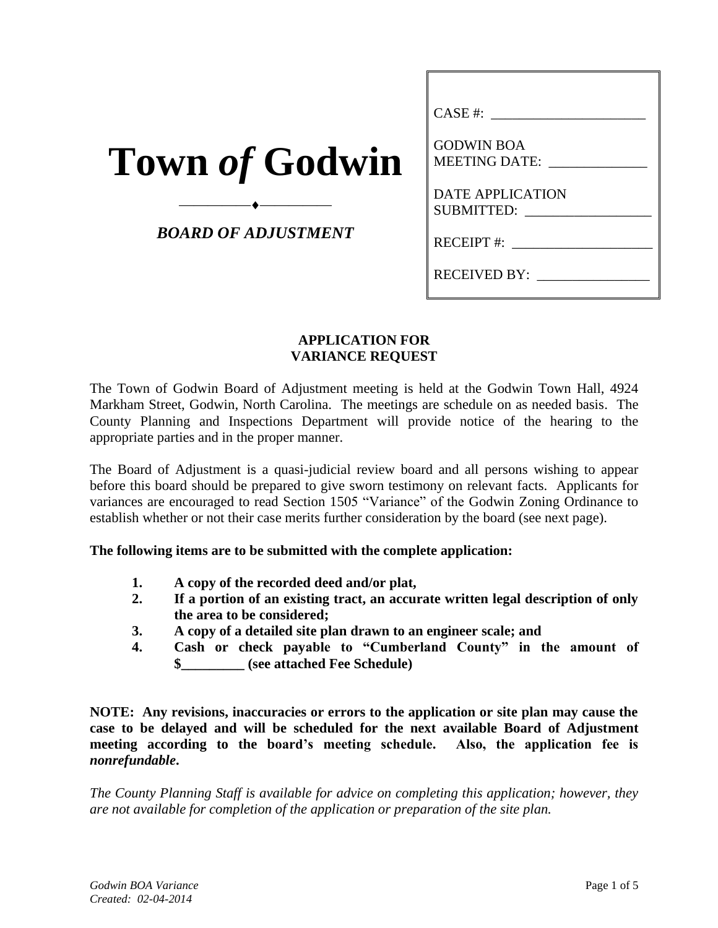| <b>Town of Godwin</b> |  |  |
|-----------------------|--|--|
|                       |  |  |

*BOARD OF ADJUSTMENT*

⎯⎯⎯⎯⎯⎯⎯⎯⎯⎯

| CASE #:                                   |
|-------------------------------------------|
| <b>GODWIN BOA</b><br><b>MEETING DATE:</b> |
| <b>DATE APPLICATION</b><br>SUBMITTED:     |
| RECEIPT #:                                |
| <b>RECEIVED BY:</b>                       |

### **APPLICATION FOR VARIANCE REQUEST**

The Town of Godwin Board of Adjustment meeting is held at the Godwin Town Hall, 4924 Markham Street, Godwin, North Carolina. The meetings are schedule on as needed basis. The County Planning and Inspections Department will provide notice of the hearing to the appropriate parties and in the proper manner.

The Board of Adjustment is a quasi-judicial review board and all persons wishing to appear before this board should be prepared to give sworn testimony on relevant facts. Applicants for variances are encouraged to read Section 1505 "Variance" of the Godwin Zoning Ordinance to establish whether or not their case merits further consideration by the board (see next page).

**The following items are to be submitted with the complete application:**

- **1. A copy of the recorded deed and/or plat,**
- **2. If a portion of an existing tract, an accurate written legal description of only the area to be considered;**
- **3. A copy of a detailed site plan drawn to an engineer scale; and**
- **4. Cash or check payable to "Cumberland County" in the amount of \$\_\_\_\_\_\_\_\_\_ (see attached Fee Schedule)**

**NOTE: Any revisions, inaccuracies or errors to the application or site plan may cause the case to be delayed and will be scheduled for the next available Board of Adjustment meeting according to the board's meeting schedule. Also, the application fee is**  *nonrefundable***.**

*The County Planning Staff is available for advice on completing this application; however, they are not available for completion of the application or preparation of the site plan.*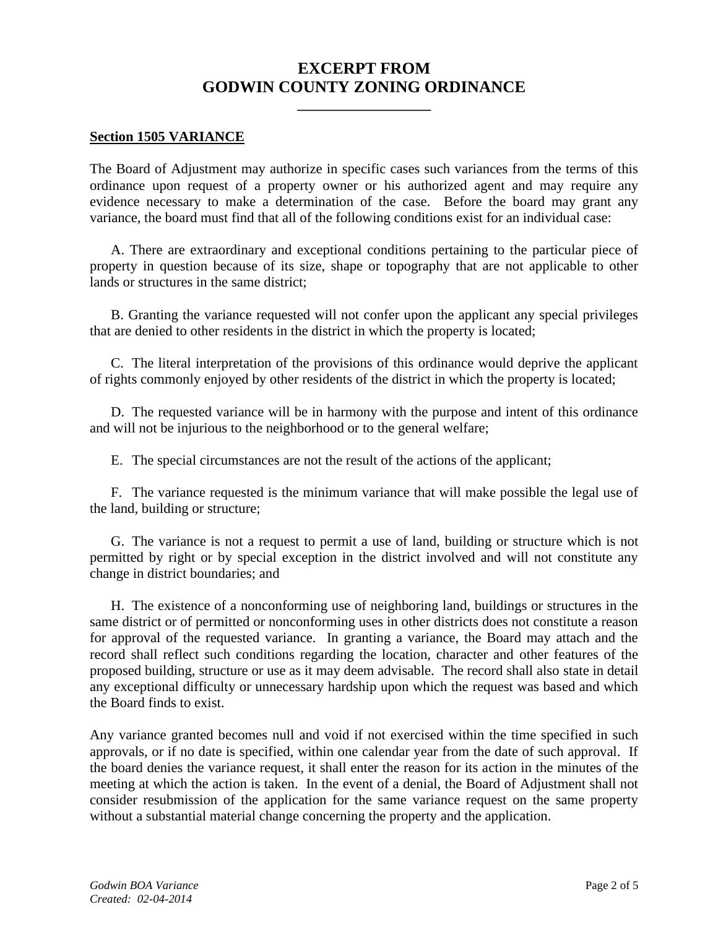# **EXCERPT FROM GODWIN COUNTY ZONING ORDINANCE**

**\_\_\_\_\_\_\_\_\_\_\_\_\_\_\_\_\_\_\_**

#### **Section 1505 VARIANCE**

The Board of Adjustment may authorize in specific cases such variances from the terms of this ordinance upon request of a property owner or his authorized agent and may require any evidence necessary to make a determination of the case. Before the board may grant any variance, the board must find that all of the following conditions exist for an individual case:

A. There are extraordinary and exceptional conditions pertaining to the particular piece of property in question because of its size, shape or topography that are not applicable to other lands or structures in the same district;

B. Granting the variance requested will not confer upon the applicant any special privileges that are denied to other residents in the district in which the property is located;

C. The literal interpretation of the provisions of this ordinance would deprive the applicant of rights commonly enjoyed by other residents of the district in which the property is located;

D. The requested variance will be in harmony with the purpose and intent of this ordinance and will not be injurious to the neighborhood or to the general welfare;

E. The special circumstances are not the result of the actions of the applicant;

F. The variance requested is the minimum variance that will make possible the legal use of the land, building or structure;

G. The variance is not a request to permit a use of land, building or structure which is not permitted by right or by special exception in the district involved and will not constitute any change in district boundaries; and

H. The existence of a nonconforming use of neighboring land, buildings or structures in the same district or of permitted or nonconforming uses in other districts does not constitute a reason for approval of the requested variance. In granting a variance, the Board may attach and the record shall reflect such conditions regarding the location, character and other features of the proposed building, structure or use as it may deem advisable. The record shall also state in detail any exceptional difficulty or unnecessary hardship upon which the request was based and which the Board finds to exist.

Any variance granted becomes null and void if not exercised within the time specified in such approvals, or if no date is specified, within one calendar year from the date of such approval. If the board denies the variance request, it shall enter the reason for its action in the minutes of the meeting at which the action is taken. In the event of a denial, the Board of Adjustment shall not consider resubmission of the application for the same variance request on the same property without a substantial material change concerning the property and the application.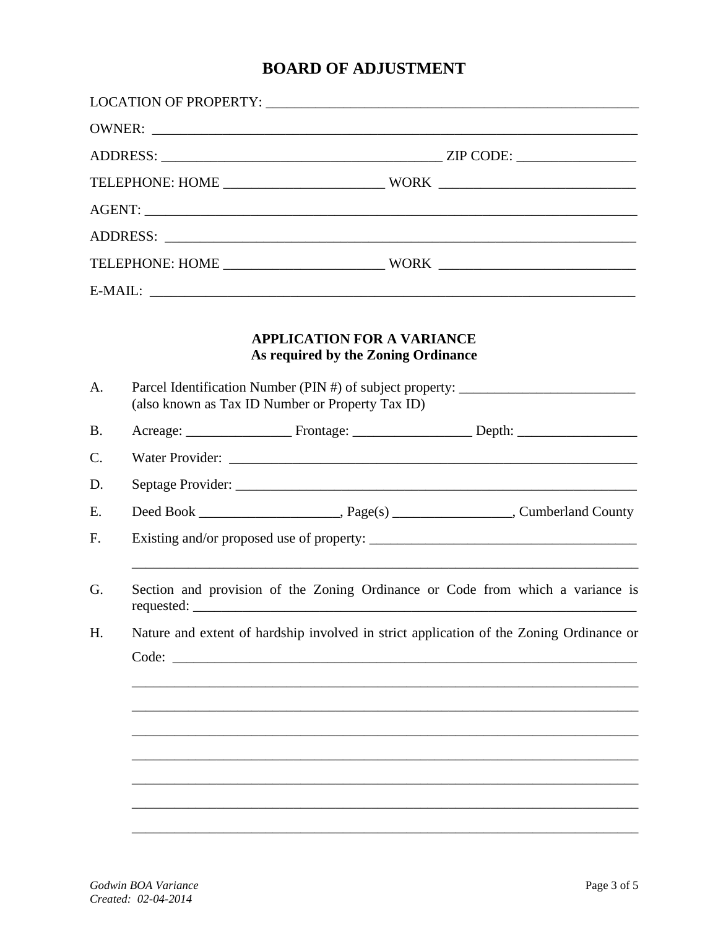# **BOARD OF ADJUSTMENT**

|  | <b>APPLICATION FOR A VARIANCE</b><br>As required by the Zoning Ordinance<br>Parcel Identification Number (PIN #) of subject property: ______________________<br>(also known as Tax ID Number or Property Tax ID)<br>Section and provision of the Zoning Ordinance or Code from which a variance is<br>Nature and extent of hardship involved in strict application of the Zoning Ordinance or<br>Code: |
|--|--------------------------------------------------------------------------------------------------------------------------------------------------------------------------------------------------------------------------------------------------------------------------------------------------------------------------------------------------------------------------------------------------------|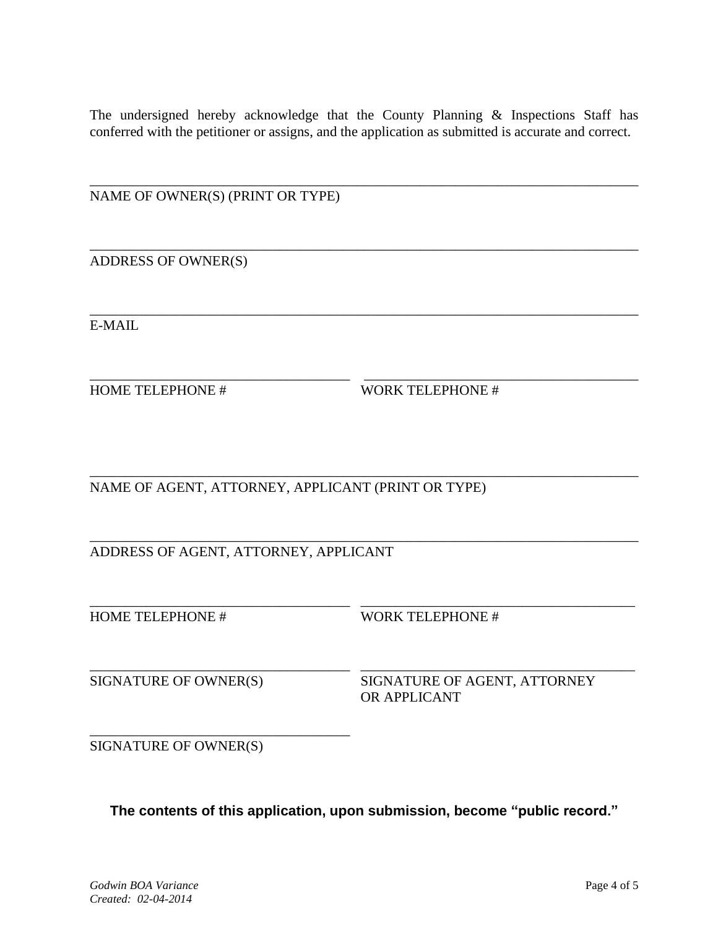The undersigned hereby acknowledge that the County Planning & Inspections Staff has conferred with the petitioner or assigns, and the application as submitted is accurate and correct.

\_\_\_\_\_\_\_\_\_\_\_\_\_\_\_\_\_\_\_\_\_\_\_\_\_\_\_\_\_\_\_\_\_\_\_\_\_\_\_\_\_\_\_\_\_\_\_\_\_\_\_\_\_\_\_\_\_\_\_\_\_\_\_\_\_\_\_\_\_\_\_\_\_\_\_\_\_\_

\_\_\_\_\_\_\_\_\_\_\_\_\_\_\_\_\_\_\_\_\_\_\_\_\_\_\_\_\_\_\_\_\_\_\_\_\_\_\_\_\_\_\_\_\_\_\_\_\_\_\_\_\_\_\_\_\_\_\_\_\_\_\_\_\_\_\_\_\_\_\_\_\_\_\_\_\_\_

\_\_\_\_\_\_\_\_\_\_\_\_\_\_\_\_\_\_\_\_\_\_\_\_\_\_\_\_\_\_\_\_\_\_\_\_\_\_\_\_\_\_\_\_\_\_\_\_\_\_\_\_\_\_\_\_\_\_\_\_\_\_\_\_\_\_\_\_\_\_\_\_\_\_\_\_\_\_

\_\_\_\_\_\_\_\_\_\_\_\_\_\_\_\_\_\_\_\_\_\_\_\_\_\_\_\_\_\_\_\_\_\_\_\_\_ \_\_\_\_\_\_\_\_\_\_\_\_\_\_\_\_\_\_\_\_\_\_\_\_\_\_\_\_\_\_\_\_\_\_\_\_\_\_\_

NAME OF OWNER(S) (PRINT OR TYPE)

ADDRESS OF OWNER(S)

E-MAIL

HOME TELEPHONE # WORK TELEPHONE #

\_\_\_\_\_\_\_\_\_\_\_\_\_\_\_\_\_\_\_\_\_\_\_\_\_\_\_\_\_\_\_\_\_\_\_\_\_\_\_\_\_\_\_\_\_\_\_\_\_\_\_\_\_\_\_\_\_\_\_\_\_\_\_\_\_\_\_\_\_\_\_\_\_\_\_\_\_\_ NAME OF AGENT, ATTORNEY, APPLICANT (PRINT OR TYPE)

\_\_\_\_\_\_\_\_\_\_\_\_\_\_\_\_\_\_\_\_\_\_\_\_\_\_\_\_\_\_\_\_\_\_\_\_\_\_\_\_\_\_\_\_\_\_\_\_\_\_\_\_\_\_\_\_\_\_\_\_\_\_\_\_\_\_\_\_\_\_\_\_\_\_\_\_\_\_ ADDRESS OF AGENT, ATTORNEY, APPLICANT

HOME TELEPHONE # WORK TELEPHONE #

SIGNATURE OF OWNER(S) SIGNATURE OF AGENT, ATTORNEY OR APPLICANT

SIGNATURE OF OWNER(S)

\_\_\_\_\_\_\_\_\_\_\_\_\_\_\_\_\_\_\_\_\_\_\_\_\_\_\_\_\_\_\_\_\_\_\_\_\_

**The contents of this application, upon submission, become "public record."**

\_\_\_\_\_\_\_\_\_\_\_\_\_\_\_\_\_\_\_\_\_\_\_\_\_\_\_\_\_\_\_\_\_\_\_\_\_ \_\_\_\_\_\_\_\_\_\_\_\_\_\_\_\_\_\_\_\_\_\_\_\_\_\_\_\_\_\_\_\_\_\_\_\_\_\_\_

\_\_\_\_\_\_\_\_\_\_\_\_\_\_\_\_\_\_\_\_\_\_\_\_\_\_\_\_\_\_\_\_\_\_\_\_\_ \_\_\_\_\_\_\_\_\_\_\_\_\_\_\_\_\_\_\_\_\_\_\_\_\_\_\_\_\_\_\_\_\_\_\_\_\_\_\_